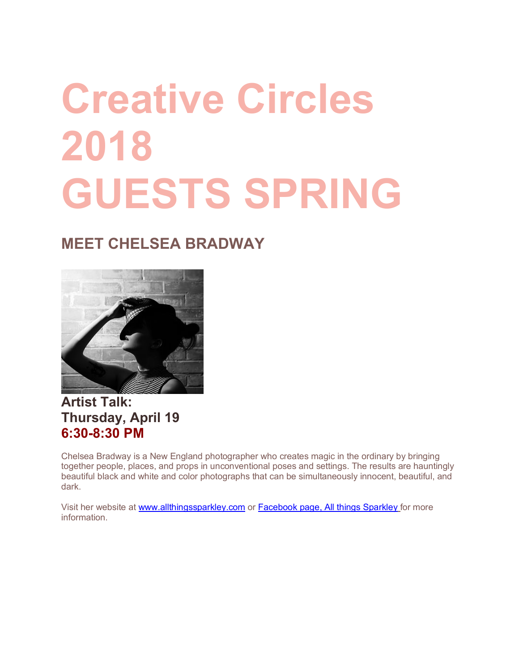# **Creative Circles 2018 GUESTS SPRING**

# **MEET CHELSEA BRADWAY**



## **Artist Talk: Thursday, April 19 6:30-8:30 PM**

Chelsea Bradway is a New England photographer who creates magic in the ordinary by bringing together people, places, and props in unconventional poses and settings. The results are hauntingly beautiful black and white and color photographs that can be simultaneously innocent, beautiful, and dark.

Visit her website at www.allthingssparkley.com or Facebook page, All things Sparkley for more information.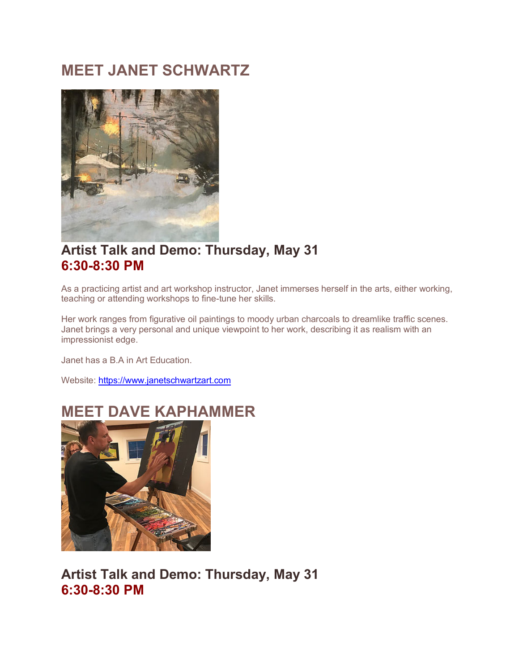# **MEET JANET SCHWARTZ**



### **Artist Talk and Demo: Thursday, May 31 6:30-8:30 PM**

As a practicing artist and art workshop instructor, Janet immerses herself in the arts, either working, teaching or attending workshops to fine-tune her skills.

Her work ranges from figurative oil paintings to moody urban charcoals to dreamlike traffic scenes. Janet brings a very personal and unique viewpoint to her work, describing it as realism with an impressionist edge.

Janet has a B.A in Art Education.

Website: https://www.janetschwartzart.com



## **MEET DAVE KAPHAMMER**

**Artist Talk and Demo: Thursday, May 31 6:30-8:30 PM**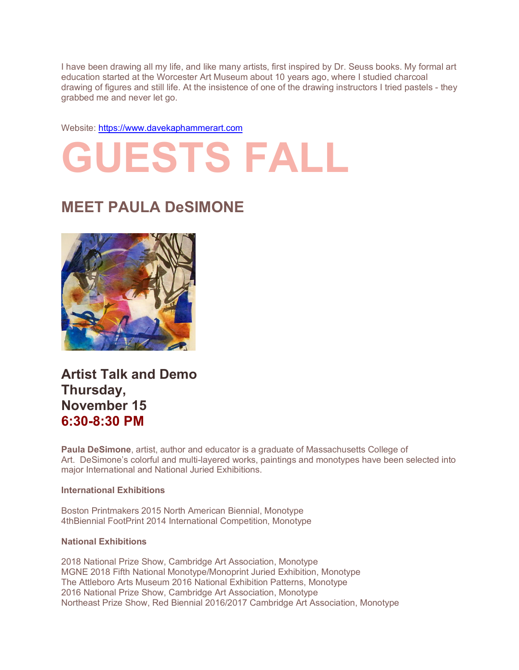I have been drawing all my life, and like many artists, first inspired by Dr. Seuss books. My formal art education started at the Worcester Art Museum about 10 years ago, where I studied charcoal drawing of figures and still life. At the insistence of one of the drawing instructors I tried pastels - they grabbed me and never let go.

Website: https://www.davekaphammerart.com

# **GUESTS FALL**

# **MEET PAULA DeSIMONE**



**Artist Talk and Demo Thursday, November 15 6:30-8:30 PM**

**Paula DeSimone**, artist, author and educator is a graduate of Massachusetts College of Art. DeSimone's colorful and multi-layered works, paintings and monotypes have been selected into major International and National Juried Exhibitions.

#### **International Exhibitions**

Boston Printmakers 2015 North American Biennial, Monotype 4thBiennial FootPrint 2014 International Competition, Monotype

#### **National Exhibitions**

2018 National Prize Show, Cambridge Art Association, Monotype MGNE 2018 Fifth National Monotype/Monoprint Juried Exhibition, Monotype The Attleboro Arts Museum 2016 National Exhibition Patterns, Monotype 2016 National Prize Show, Cambridge Art Association, Monotype Northeast Prize Show, Red Biennial 2016/2017 Cambridge Art Association, Monotype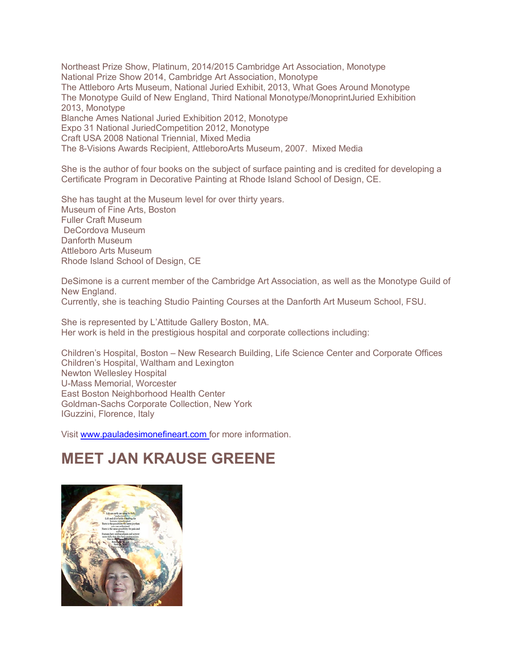Northeast Prize Show, Platinum, 2014/2015 Cambridge Art Association, Monotype National Prize Show 2014, Cambridge Art Association, Monotype The Attleboro Arts Museum, National Juried Exhibit, 2013, What Goes Around Monotype The Monotype Guild of New England, Third National Monotype/MonoprintJuried Exhibition 2013, Monotype Blanche Ames National Juried Exhibition 2012, Monotype Expo 31 National JuriedCompetition 2012, Monotype Craft USA 2008 National Triennial, Mixed Media The 8-Visions Awards Recipient, AttleboroArts Museum, 2007. Mixed Media

She is the author of four books on the subject of surface painting and is credited for developing a Certificate Program in Decorative Painting at Rhode Island School of Design, CE.

She has taught at the Museum level for over thirty years. Museum of Fine Arts, Boston Fuller Craft Museum DeCordova Museum Danforth Museum Attleboro Arts Museum Rhode Island School of Design, CE

DeSimone is a current member of the Cambridge Art Association, as well as the Monotype Guild of New England.

Currently, she is teaching Studio Painting Courses at the Danforth Art Museum School, FSU.

She is represented by L'Attitude Gallery Boston, MA. Her work is held in the prestigious hospital and corporate collections including:

Children's Hospital, Boston – New Research Building, Life Science Center and Corporate Offices Children's Hospital, Waltham and Lexington Newton Wellesley Hospital U-Mass Memorial, Worcester East Boston Neighborhood Health Center Goldman-Sachs Corporate Collection, New York IGuzzini, Florence, Italy

Visit www.pauladesimonefineart.com for more information.

# **MEET JAN KRAUSE GREENE**

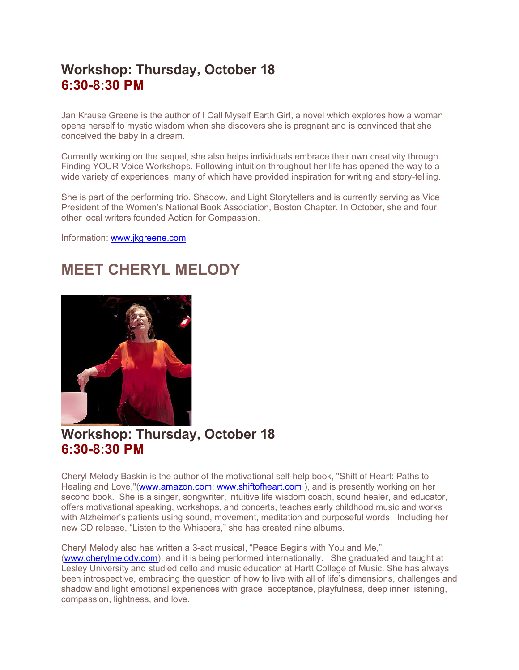## **Workshop: Thursday, October 18 6:30-8:30 PM**

Jan Krause Greene is the author of I Call Myself Earth Girl, a novel which explores how a woman opens herself to mystic wisdom when she discovers she is pregnant and is convinced that she conceived the baby in a dream.

Currently working on the sequel, she also helps individuals embrace their own creativity through Finding YOUR Voice Workshops. Following intuition throughout her life has opened the way to a wide variety of experiences, many of which have provided inspiration for writing and story-telling.

She is part of the performing trio, Shadow, and Light Storytellers and is currently serving as Vice President of the Women's National Book Association, Boston Chapter. In October, she and four other local writers founded Action for Compassion.

Information: www.jkgreene.com

# **MEET CHERYL MELODY**



## **Workshop: Thursday, October 18 6:30-8:30 PM**

Cheryl Melody Baskin is the author of the motivational self-help book, "Shift of Heart: Paths to Healing and Love,"(www.amazon.com; www.shiftofheart.com ), and is presently working on her second book. She is a singer, songwriter, intuitive life wisdom coach, sound healer, and educator, offers motivational speaking, workshops, and concerts, teaches early childhood music and works with Alzheimer's patients using sound, movement, meditation and purposeful words. Including her new CD release, "Listen to the Whispers," she has created nine albums.

Cheryl Melody also has written a 3-act musical, "Peace Begins with You and Me," (www.cherylmelody.com), and it is being performed internationally. She graduated and taught at Lesley University and studied cello and music education at Hartt College of Music. She has always been introspective, embracing the question of how to live with all of life's dimensions, challenges and shadow and light emotional experiences with grace, acceptance, playfulness, deep inner listening, compassion, lightness, and love.